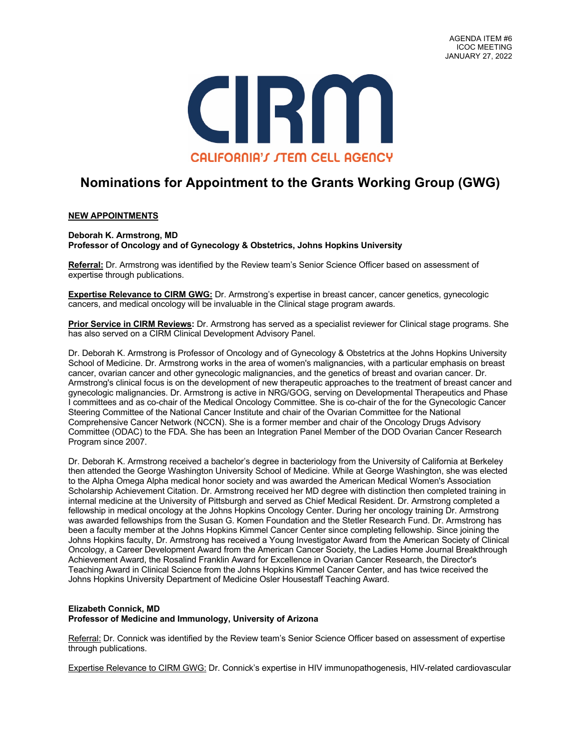

# **Nominations for Appointment to the Grants Working Group (GWG)**

## **NEW APPOINTMENTS**

**Deborah K. Armstrong, MD Professor of Oncology and of Gynecology & Obstetrics, Johns Hopkins University**

**Referral:** Dr. Armstrong was identified by the Review team's Senior Science Officer based on assessment of expertise through publications.

**Expertise Relevance to CIRM GWG:** Dr. Armstrong's expertise in breast cancer, cancer genetics, gynecologic cancers, and medical oncology will be invaluable in the Clinical stage program awards.

**Prior Service in CIRM Reviews:** Dr. Armstrong has served as a specialist reviewer for Clinical stage programs. She has also served on a CIRM Clinical Development Advisory Panel.

Dr. Deborah K. Armstrong is Professor of Oncology and of Gynecology & Obstetrics at the Johns Hopkins University School of Medicine. Dr. Armstrong works in the area of women's malignancies, with a particular emphasis on breast cancer, ovarian cancer and other gynecologic malignancies, and the genetics of breast and ovarian cancer. Dr. Armstrong's clinical focus is on the development of new therapeutic approaches to the treatment of breast cancer and gynecologic malignancies. Dr. Armstrong is active in NRG/GOG, serving on Developmental Therapeutics and Phase I committees and as co-chair of the Medical Oncology Committee. She is co-chair of the for the Gynecologic Cancer Steering Committee of the National Cancer Institute and chair of the Ovarian Committee for the National Comprehensive Cancer Network (NCCN). She is a former member and chair of the Oncology Drugs Advisory Committee (ODAC) to the FDA. She has been an Integration Panel Member of the DOD Ovarian Cancer Research Program since 2007.

Dr. Deborah K. Armstrong received a bachelor's degree in bacteriology from the University of California at Berkeley then attended the George Washington University School of Medicine. While at George Washington, she was elected to the Alpha Omega Alpha medical honor society and was awarded the American Medical Women's Association Scholarship Achievement Citation. Dr. Armstrong received her MD degree with distinction then completed training in internal medicine at the University of Pittsburgh and served as Chief Medical Resident. Dr. Armstrong completed a fellowship in medical oncology at the Johns Hopkins Oncology Center. During her oncology training Dr. Armstrong was awarded fellowships from the Susan G. Komen Foundation and the Stetler Research Fund. Dr. Armstrong has been a faculty member at the Johns Hopkins Kimmel Cancer Center since completing fellowship. Since joining the Johns Hopkins faculty, Dr. Armstrong has received a Young Investigator Award from the American Society of Clinical Oncology, a Career Development Award from the American Cancer Society, the Ladies Home Journal Breakthrough Achievement Award, the Rosalind Franklin Award for Excellence in Ovarian Cancer Research, the Director's Teaching Award in Clinical Science from the Johns Hopkins Kimmel Cancer Center, and has twice received the Johns Hopkins University Department of Medicine Osler Housestaff Teaching Award.

## **Elizabeth Connick, MD Professor of Medicine and Immunology, University of Arizona**

Referral: Dr. Connick was identified by the Review team's Senior Science Officer based on assessment of expertise through publications.

Expertise Relevance to CIRM GWG: Dr. Connick's expertise in HIV immunopathogenesis, HIV-related cardiovascular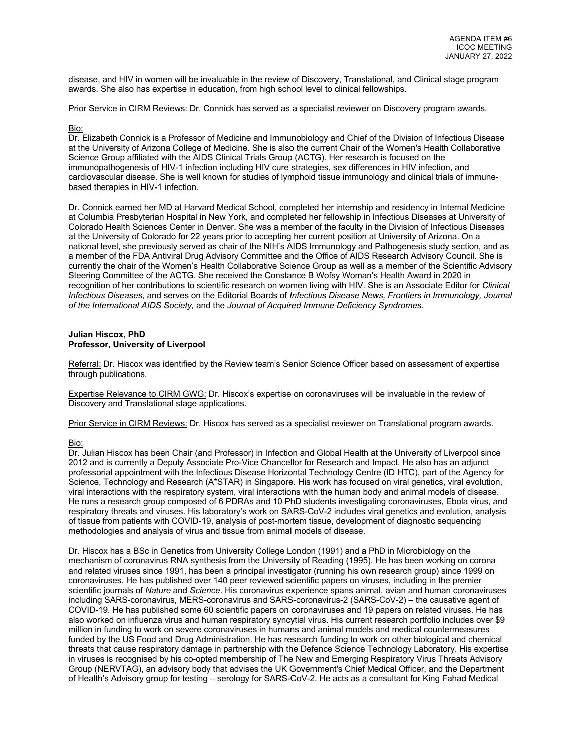disease, and HIV in women will be invaluable in the review of Discovery, Translational, and Clinical stage program awards. She also has expertise in education, from high school level to clinical fellowships.

Prior Service in CIRM Reviews: Dr. Connick has served as a specialist reviewer on Discovery program awards.

## Bio:

Dr. Elizabeth Connick is a Professor of Medicine and Immunobiology and Chief of the Division of Infectious Disease at the University of Arizona College of Medicine. She is also the current Chair of the Women's Health Collaborative Science Group affiliated with the AIDS Clinical Trials Group (ACTG). Her research is focused on the immunopathogenesis of HIV-1 infection including HIV cure strategies, sex differences in HIV infection, and cardiovascular disease. She is well known for studies of lymphoid tissue immunology and clinical trials of immunebased therapies in HIV-1 infection.

Dr. Connick earned her MD at Harvard Medical School, completed her internship and residency in Internal Medicine at Columbia Presbyterian Hospital in New York, and completed her fellowship in Infectious Diseases at University of Colorado Health Sciences Center in Denver. She was a member of the faculty in the Division of Infectious Diseases at the University of Colorado for 22 years prior to accepting her current position at University of Arizona. On a national level, she previously served as chair of the NIH's AIDS Immunology and Pathogenesis study section, and as a member of the FDA Antiviral Drug Advisory Committee and the Office of AIDS Research Advisory Council. She is currently the chair of the Women's Health Collaborative Science Group as well as a member of the Scientific Advisory Steering Committee of the ACTG. She received the Constance B Wofsy Woman's Health Award in 2020 in recognition of her contributions to scientific research on women living with HIV. She is an Associate Editor for *Clinical Infectious Diseases*, and serves on the Editorial Boards of *Infectious Disease News, Frontiers in Immunology, Journal of the International AIDS Society,* and the *Journal of Acquired Immune Deficiency Syndromes.*

## **Julian Hiscox, PhD Professor, University of Liverpool**

Referral: Dr. Hiscox was identified by the Review team's Senior Science Officer based on assessment of expertise through publications.

Expertise Relevance to CIRM GWG: Dr. Hiscox's expertise on coronaviruses will be invaluable in the review of Discovery and Translational stage applications.

Prior Service in CIRM Reviews: Dr. Hiscox has served as a specialist reviewer on Translational program awards.

## Bio:

Dr. Julian Hiscox has been Chair (and Professor) in Infection and Global Health at the University of Liverpool since 2012 and is currently a Deputy Associate Pro-Vice Chancellor for Research and Impact. He also has an adjunct professorial appointment with the Infectious Disease Horizontal Technology Centre (ID HTC), part of the Agency for Science, Technology and Research (A\*STAR) in Singapore. His work has focused on viral genetics, viral evolution, viral interactions with the respiratory system, viral interactions with the human body and animal models of disease. He runs a research group composed of 6 PDRAs and 10 PhD students investigating coronaviruses, Ebola virus, and respiratory threats and viruses. His laboratory's work on SARS-CoV-2 includes viral genetics and evolution, analysis of tissue from patients with COVID-19, analysis of post-mortem tissue, development of diagnostic sequencing methodologies and analysis of virus and tissue from animal models of disease.

Dr. Hiscox has a BSc in Genetics from University College London (1991) and a PhD in Microbiology on the mechanism of coronavirus RNA synthesis from the University of Reading (1995). He has been working on corona and related viruses since 1991, has been a principal investigator (running his own research group) since 1999 on coronaviruses. He has published over 140 peer reviewed scientific papers on viruses, including in the premier scientific journals of *Nature* and *Science*. His coronavirus experience spans animal, avian and human coronaviruses including SARS-coronavirus, MERS-coronavirus and SARS-coronavirus-2 (SARS-CoV-2) – the causative agent of COVID-19. He has published some 60 scientific papers on coronaviruses and 19 papers on related viruses. He has also worked on influenza virus and human respiratory syncytial virus. His current research portfolio includes over \$9 million in funding to work on severe coronaviruses in humans and animal models and medical countermeasures funded by the US Food and Drug Administration. He has research funding to work on other biological and chemical threats that cause respiratory damage in partnership with the Defence Science Technology Laboratory. His expertise in viruses is recognised by his co-opted membership of The New and Emerging Respiratory Virus Threats Advisory Group (NERVTAG), an advisory body that advises the UK Government's Chief Medical Officer, and the Department of Health's Advisory group for testing – serology for SARS-CoV-2. He acts as a consultant for King Fahad Medical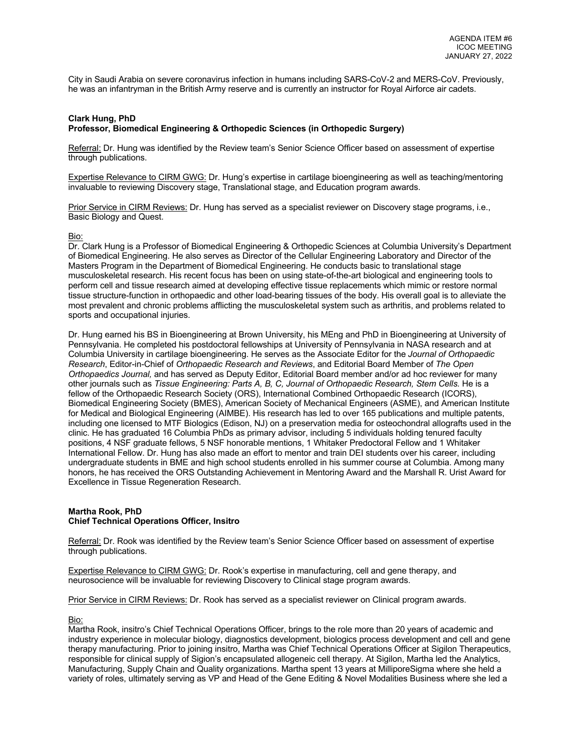City in Saudi Arabia on severe coronavirus infection in humans including SARS-CoV-2 and MERS-CoV. Previously, he was an infantryman in the British Army reserve and is currently an instructor for Royal Airforce air cadets.

## **Clark Hung, PhD Professor, Biomedical Engineering & Orthopedic Sciences (in Orthopedic Surgery)**

Referral: Dr. Hung was identified by the Review team's Senior Science Officer based on assessment of expertise through publications.

Expertise Relevance to CIRM GWG: Dr. Hung's expertise in cartilage bioengineering as well as teaching/mentoring invaluable to reviewing Discovery stage, Translational stage, and Education program awards.

Prior Service in CIRM Reviews: Dr. Hung has served as a specialist reviewer on Discovery stage programs, i.e., Basic Biology and Quest.

## Bio:

Dr. Clark Hung is a Professor of Biomedical Engineering & Orthopedic Sciences at Columbia University's Department of Biomedical Engineering. He also serves as Director of the Cellular Engineering Laboratory and Director of the Masters Program in the Department of Biomedical Engineering. He conducts basic to translational stage musculoskeletal research. His recent focus has been on using state-of-the-art biological and engineering tools to perform cell and tissue research aimed at developing effective tissue replacements which mimic or restore normal tissue structure-function in orthopaedic and other load-bearing tissues of the body. His overall goal is to alleviate the most prevalent and chronic problems afflicting the musculoskeletal system such as arthritis, and problems related to sports and occupational injuries.

Dr. Hung earned his BS in Bioengineering at Brown University, his MEng and PhD in Bioengineering at University of Pennsylvania. He completed his postdoctoral fellowships at University of Pennsylvania in NASA research and at Columbia University in cartilage bioengineering. He serves as the Associate Editor for the *Journal of Orthopaedic Research*, Editor-in-Chief of *Orthopaedic Research and Reviews*, and Editorial Board Member of *The Open Orthopaedics Journal,* and has served as Deputy Editor, Editorial Board member and/or ad hoc reviewer for many other journals such as *Tissue Engineering: Parts A, B, C, Journal of Orthopaedic Research, Stem Cells.* He is a fellow of the Orthopaedic Research Society (ORS), International Combined Orthopaedic Research (ICORS), Biomedical Engineering Society (BMES), American Society of Mechanical Engineers (ASME), and American Institute for Medical and Biological Engineering (AIMBE). His research has led to over 165 publications and multiple patents, including one licensed to MTF Biologics (Edison, NJ) on a preservation media for osteochondral allografts used in the clinic. He has graduated 16 Columbia PhDs as primary advisor, including 5 individuals holding tenured faculty positions, 4 NSF graduate fellows, 5 NSF honorable mentions, 1 Whitaker Predoctoral Fellow and 1 Whitaker International Fellow. Dr. Hung has also made an effort to mentor and train DEI students over his career, including undergraduate students in BME and high school students enrolled in his summer course at Columbia. Among many honors, he has received the ORS Outstanding Achievement in Mentoring Award and the Marshall R. Urist Award for Excellence in Tissue Regeneration Research.

#### **Martha Rook, PhD Chief Technical Operations Officer, Insitro**

Referral: Dr. Rook was identified by the Review team's Senior Science Officer based on assessment of expertise through publications.

Expertise Relevance to CIRM GWG: Dr. Rook's expertise in manufacturing, cell and gene therapy, and neurosocience will be invaluable for reviewing Discovery to Clinical stage program awards.

Prior Service in CIRM Reviews: Dr. Rook has served as a specialist reviewer on Clinical program awards.

#### Bio:

Martha Rook, insitro's Chief Technical Operations Officer, brings to the role more than 20 years of academic and industry experience in molecular biology, diagnostics development, biologics process development and cell and gene therapy manufacturing. Prior to joining insitro, Martha was Chief Technical Operations Officer at Sigilon Therapeutics, responsible for clinical supply of Sigion's encapsulated allogeneic cell therapy. At Sigilon, Martha led the Analytics, Manufacturing, Supply Chain and Quality organizations. Martha spent 13 years at MilliporeSigma where she held a variety of roles, ultimately serving as VP and Head of the Gene Editing & Novel Modalities Business where she led a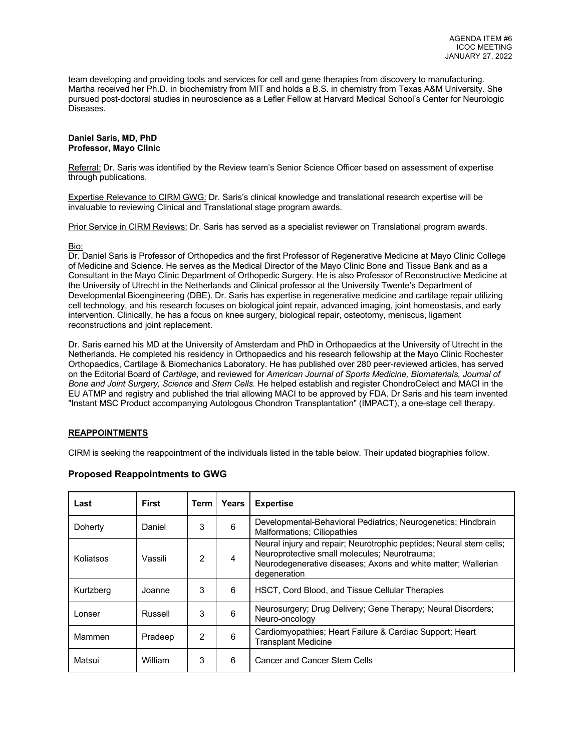team developing and providing tools and services for cell and gene therapies from discovery to manufacturing. Martha received her Ph.D. in biochemistry from MIT and holds a B.S. in chemistry from Texas A&M University. She pursued post-doctoral studies in neuroscience as a Lefler Fellow at Harvard Medical School's Center for Neurologic Diseases.

### **Daniel Saris, MD, PhD Professor, Mayo Clinic**

Referral: Dr. Saris was identified by the Review team's Senior Science Officer based on assessment of expertise through publications.

Expertise Relevance to CIRM GWG: Dr. Saris's clinical knowledge and translational research expertise will be invaluable to reviewing Clinical and Translational stage program awards.

Prior Service in CIRM Reviews: Dr. Saris has served as a specialist reviewer on Translational program awards.

#### Bio:

Dr. Daniel Saris is Professor of Orthopedics and the first Professor of Regenerative Medicine at Mayo Clinic College of Medicine and Science. He serves as the Medical Director of the Mayo Clinic Bone and Tissue Bank and as a Consultant in the Mayo Clinic Department of Orthopedic Surgery. He is also Professor of Reconstructive Medicine at the University of Utrecht in the Netherlands and Clinical professor at the University Twente's Department of Developmental Bioengineering (DBE). Dr. Saris has expertise in regenerative medicine and cartilage repair utilizing cell technology, and his research focuses on biological joint repair, advanced imaging, joint homeostasis, and early intervention. Clinically, he has a focus on knee surgery, biological repair, osteotomy, meniscus, ligament reconstructions and joint replacement.

Dr. Saris earned his MD at the University of Amsterdam and PhD in Orthopaedics at the University of Utrecht in the Netherlands. He completed his residency in Orthopaedics and his research fellowship at the Mayo Clinic Rochester Orthopaedics, Cartilage & Biomechanics Laboratory. He has published over 280 peer-reviewed articles, has served on the Editorial Board of *Cartilage*, and reviewed for *American Journal of Sports Medicine, Biomaterials, Journal of Bone and Joint Surgery, Science* and *Stem Cells.* He helped establish and register ChondroCelect and MACI in the EU ATMP and registry and published the trial allowing MACI to be approved by FDA. Dr Saris and his team invented "Instant MSC Product accompanying Autologous Chondron Transplantation" (IMPACT), a one-stage cell therapy.

## **REAPPOINTMENTS**

CIRM is seeking the reappointment of the individuals listed in the table below. Their updated biographies follow.

| Last      | <b>First</b> | Term | <b>Years</b> | <b>Expertise</b>                                                                                                                                                                                      |
|-----------|--------------|------|--------------|-------------------------------------------------------------------------------------------------------------------------------------------------------------------------------------------------------|
| Doherty   | Daniel       | 3    | 6            | Developmental-Behavioral Pediatrics; Neurogenetics; Hindbrain<br><b>Malformations: Ciliopathies</b>                                                                                                   |
| Koliatsos | Vassili      | 2    | 4            | Neural injury and repair; Neurotrophic peptides; Neural stem cells;<br>Neuroprotective small molecules; Neurotrauma;<br>Neurodegenerative diseases; Axons and white matter; Wallerian<br>degeneration |
| Kurtzberg | Joanne       | 3    | 6            | HSCT, Cord Blood, and Tissue Cellular Therapies                                                                                                                                                       |
| Lonser    | Russell      | 3    | 6            | Neurosurgery; Drug Delivery; Gene Therapy; Neural Disorders;<br>Neuro-oncology                                                                                                                        |
| Mammen    | Pradeep      | 2    | 6            | Cardiomyopathies; Heart Failure & Cardiac Support; Heart<br><b>Transplant Medicine</b>                                                                                                                |
| Matsui    | William      | 3    | 6            | Cancer and Cancer Stem Cells                                                                                                                                                                          |

## **Proposed Reappointments to GWG**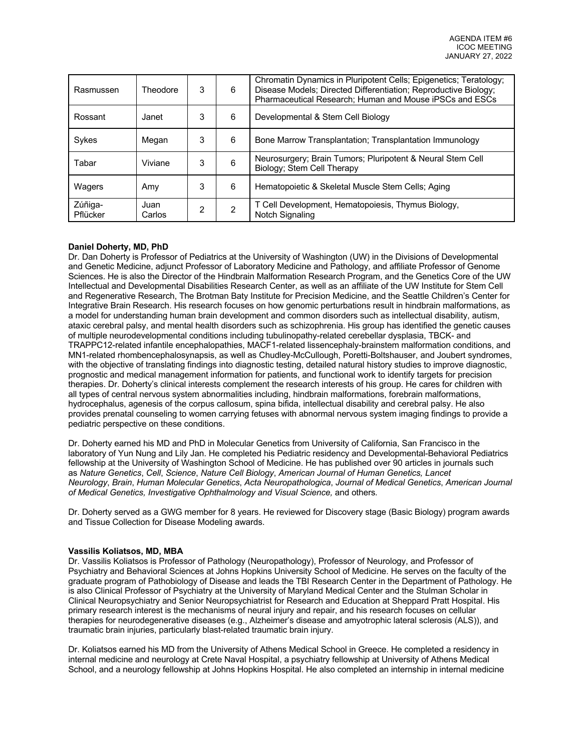| Rasmussen           | <b>Theodore</b> | 3 | 6             | Chromatin Dynamics in Pluripotent Cells; Epigenetics; Teratology;<br>Disease Models; Directed Differentiation; Reproductive Biology;<br>Pharmaceutical Research; Human and Mouse iPSCs and ESCs |
|---------------------|-----------------|---|---------------|-------------------------------------------------------------------------------------------------------------------------------------------------------------------------------------------------|
| Rossant             | Janet           | 3 | 6             | Developmental & Stem Cell Biology                                                                                                                                                               |
| Sykes               | Megan           | 3 | 6             | Bone Marrow Transplantation; Transplantation Immunology                                                                                                                                         |
| Tabar               | Viviane         | 3 | 6             | Neurosurgery; Brain Tumors; Pluripotent & Neural Stem Cell<br>Biology; Stem Cell Therapy                                                                                                        |
| Wagers              | Amy             | 3 | 6             | Hematopoietic & Skeletal Muscle Stem Cells; Aging                                                                                                                                               |
| Zúñiga-<br>Pflücker | Juan<br>Carlos  | 2 | $\mathcal{P}$ | T Cell Development, Hematopoiesis, Thymus Biology,<br>Notch Signaling                                                                                                                           |

## **Daniel Doherty, MD, PhD**

Dr. Dan Doherty is Professor of Pediatrics at the University of Washington (UW) in the Divisions of Developmental and Genetic Medicine, adjunct Professor of Laboratory Medicine and Pathology, and affiliate Professor of Genome Sciences. He is also the Director of the Hindbrain Malformation Research Program, and the Genetics Core of the UW Intellectual and Developmental Disabilities Research Center, as well as an affiliate of the UW Institute for Stem Cell and Regenerative Research, The Brotman Baty Institute for Precision Medicine, and the Seattle Children's Center for Integrative Brain Research. His research focuses on how genomic perturbations result in hindbrain malformations, as a model for understanding human brain development and common disorders such as intellectual disability, autism, ataxic cerebral palsy, and mental health disorders such as schizophrenia. His group has identified the genetic causes of multiple neurodevelopmental conditions including tubulinopathy-related cerebellar dysplasia, TBCK- and TRAPPC12-related infantile encephalopathies, MACF1-related lissencephaly-brainstem malformation conditions, and MN1-related rhombencephalosynapsis, as well as Chudley-McCullough, Poretti-Boltshauser, and Joubert syndromes, with the objective of translating findings into diagnostic testing, detailed natural history studies to improve diagnostic, prognostic and medical management information for patients, and functional work to identify targets for precision therapies. Dr. Doherty's clinical interests complement the research interests of his group. He cares for children with all types of central nervous system abnormalities including, hindbrain malformations, forebrain malformations, hydrocephalus, agenesis of the corpus callosum, spina bifida, intellectual disability and cerebral palsy. He also provides prenatal counseling to women carrying fetuses with abnormal nervous system imaging findings to provide a pediatric perspective on these conditions.

Dr. Doherty earned his MD and PhD in Molecular Genetics from University of California, San Francisco in the laboratory of Yun Nung and Lily Jan. He completed his Pediatric residency and Developmental-Behavioral Pediatrics fellowship at the University of Washington School of Medicine. He has published over 90 articles in journals such as *Nature Genetics*, *Cell*, *Science*, *Nature Cell Biology*, *American Journal of Human Genetics, Lancet Neurology*, *Brain*, *Human Molecular Genetics*, *Acta Neuropathologica*, *Journal of Medical Genetics*, *American Journal of Medical Genetics, Investigative Ophthalmology and Visual Science,* and others*.*

Dr. Doherty served as a GWG member for 8 years. He reviewed for Discovery stage (Basic Biology) program awards and Tissue Collection for Disease Modeling awards.

#### **Vassilis Koliatsos, MD, MBA**

Dr. Vassilis Koliatsos is Professor of Pathology (Neuropathology), Professor of Neurology, and Professor of Psychiatry and Behavioral Sciences at Johns Hopkins University School of Medicine. He serves on the faculty of the graduate program of Pathobiology of Disease and leads the TBI Research Center in the Department of Pathology. He is also Clinical Professor of Psychiatry at the University of Maryland Medical Center and the Stulman Scholar in Clinical Neuropsychiatry and Senior Neuropsychiatrist for Research and Education at Sheppard Pratt Hospital. His primary research interest is the mechanisms of neural injury and repair, and his research focuses on cellular therapies for neurodegenerative diseases (e.g., Alzheimer's disease and amyotrophic lateral sclerosis (ALS)), and traumatic brain injuries, particularly blast-related traumatic brain injury.

Dr. Koliatsos earned his MD from the University of Athens Medical School in Greece. He completed a residency in internal medicine and neurology at Crete Naval Hospital, a psychiatry fellowship at University of Athens Medical School, and a neurology fellowship at Johns Hopkins Hospital. He also completed an internship in internal medicine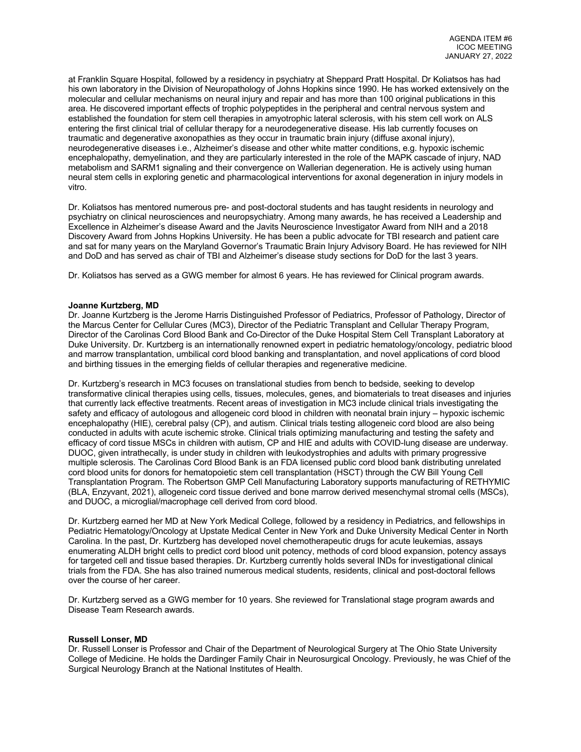at Franklin Square Hospital, followed by a residency in psychiatry at Sheppard Pratt Hospital. Dr Koliatsos has had his own laboratory in the Division of Neuropathology of Johns Hopkins since 1990. He has worked extensively on the molecular and cellular mechanisms on neural injury and repair and has more than 100 original publications in this area. He discovered important effects of trophic polypeptides in the peripheral and central nervous system and established the foundation for stem cell therapies in amyotrophic lateral sclerosis, with his stem cell work on ALS entering the first clinical trial of cellular therapy for a neurodegenerative disease. His lab currently focuses on traumatic and degenerative axonopathies as they occur in traumatic brain injury (diffuse axonal injury), neurodegenerative diseases i.e., Alzheimer's disease and other white matter conditions, e.g. hypoxic ischemic encephalopathy, demyelination, and they are particularly interested in the role of the MAPK cascade of injury, NAD metabolism and SARM1 signaling and their convergence on Wallerian degeneration. He is actively using human neural stem cells in exploring genetic and pharmacological interventions for axonal degeneration in injury models in vitro.

Dr. Koliatsos has mentored numerous pre- and post-doctoral students and has taught residents in neurology and psychiatry on clinical neurosciences and neuropsychiatry. Among many awards, he has received a Leadership and Excellence in Alzheimer's disease Award and the Javits Neuroscience Investigator Award from NIH and a 2018 Discovery Award from Johns Hopkins University. He has been a public advocate for TBI research and patient care and sat for many years on the Maryland Governor's Traumatic Brain Injury Advisory Board. He has reviewed for NIH and DoD and has served as chair of TBI and Alzheimer's disease study sections for DoD for the last 3 years.

Dr. Koliatsos has served as a GWG member for almost 6 years. He has reviewed for Clinical program awards.

### **Joanne Kurtzberg, MD**

Dr. Joanne Kurtzberg is the Jerome Harris Distinguished Professor of Pediatrics, Professor of Pathology, Director of the Marcus Center for Cellular Cures (MC3), Director of the Pediatric Transplant and Cellular Therapy Program, Director of the Carolinas Cord Blood Bank and Co-Director of the Duke Hospital Stem Cell Transplant Laboratory at Duke University. Dr. Kurtzberg is an internationally renowned expert in pediatric hematology/oncology, pediatric blood and marrow transplantation, umbilical cord blood banking and transplantation, and novel applications of cord blood and birthing tissues in the emerging fields of cellular therapies and regenerative medicine.

Dr. Kurtzberg's research in MC3 focuses on translational studies from bench to bedside, seeking to develop transformative clinical therapies using cells, tissues, molecules, genes, and biomaterials to treat diseases and injuries that currently lack effective treatments. Recent areas of investigation in MC3 include clinical trials investigating the safety and efficacy of autologous and allogeneic cord blood in children with neonatal brain injury – hypoxic ischemic encephalopathy (HIE), cerebral palsy (CP), and autism. Clinical trials testing allogeneic cord blood are also being conducted in adults with acute ischemic stroke. Clinical trials optimizing manufacturing and testing the safety and efficacy of cord tissue MSCs in children with autism, CP and HIE and adults with COVID-lung disease are underway. DUOC, given intrathecally, is under study in children with leukodystrophies and adults with primary progressive multiple sclerosis. The Carolinas Cord Blood Bank is an FDA licensed public cord blood bank distributing unrelated cord blood units for donors for hematopoietic stem cell transplantation (HSCT) through the CW Bill Young Cell Transplantation Program. The Robertson GMP Cell Manufacturing Laboratory supports manufacturing of RETHYMIC (BLA, Enzyvant, 2021), allogeneic cord tissue derived and bone marrow derived mesenchymal stromal cells (MSCs), and DUOC, a microglial/macrophage cell derived from cord blood.

Dr. Kurtzberg earned her MD at New York Medical College, followed by a residency in Pediatrics, and fellowships in Pediatric Hematology/Oncology at Upstate Medical Center in New York and Duke University Medical Center in North Carolina. In the past, Dr. Kurtzberg has developed novel chemotherapeutic drugs for acute leukemias, assays enumerating ALDH bright cells to predict cord blood unit potency, methods of cord blood expansion, potency assays for targeted cell and tissue based therapies. Dr. Kurtzberg currently holds several INDs for investigational clinical trials from the FDA. She has also trained numerous medical students, residents, clinical and post-doctoral fellows over the course of her career.

Dr. Kurtzberg served as a GWG member for 10 years. She reviewed for Translational stage program awards and Disease Team Research awards.

#### **Russell Lonser, MD**

Dr. Russell Lonser is Professor and Chair of the Department of Neurological Surgery at The Ohio State University College of Medicine. He holds the Dardinger Family Chair in Neurosurgical Oncology. Previously, he was Chief of the Surgical Neurology Branch at the National Institutes of Health.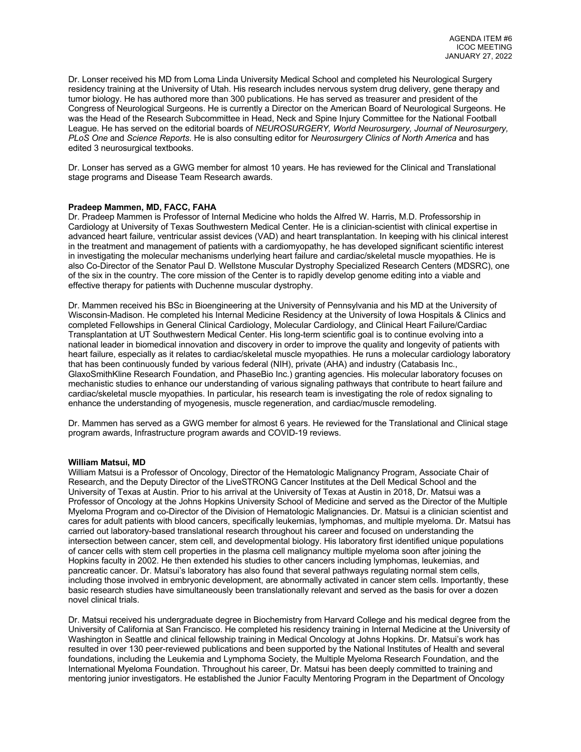Dr. Lonser received his MD from Loma Linda University Medical School and completed his Neurological Surgery residency training at the University of Utah. His research includes nervous system drug delivery, gene therapy and tumor biology. He has authored more than 300 publications. He has served as treasurer and president of the Congress of Neurological Surgeons. He is currently a Director on the American Board of Neurological Surgeons. He was the Head of the Research Subcommittee in Head, Neck and Spine Injury Committee for the National Football League. He has served on the editorial boards of *NEUROSURGERY, World Neurosurgery, Journal of Neurosurgery, PLoS One* and *Science Reports*. He is also consulting editor for *Neurosurgery Clinics of North America* and has edited 3 neurosurgical textbooks.

Dr. Lonser has served as a GWG member for almost 10 years. He has reviewed for the Clinical and Translational stage programs and Disease Team Research awards.

## **Pradeep Mammen, MD, FACC, FAHA**

Dr. Pradeep Mammen is Professor of Internal Medicine who holds the Alfred W. Harris, M.D. Professorship in Cardiology at University of Texas Southwestern Medical Center. He is a clinician-scientist with clinical expertise in advanced heart failure, ventricular assist devices (VAD) and heart transplantation. In keeping with his clinical interest in the treatment and management of patients with a cardiomyopathy, he has developed significant scientific interest in investigating the molecular mechanisms underlying heart failure and cardiac/skeletal muscle myopathies. He is also Co-Director of the Senator Paul D. Wellstone Muscular Dystrophy Specialized Research Centers (MDSRC), one of the six in the country. The core mission of the Center is to rapidly develop genome editing into a viable and effective therapy for patients with Duchenne muscular dystrophy.

Dr. Mammen received his BSc in Bioengineering at the University of Pennsylvania and his MD at the University of Wisconsin-Madison. He completed his Internal Medicine Residency at the University of Iowa Hospitals & Clinics and completed Fellowships in General Clinical Cardiology, Molecular Cardiology, and Clinical Heart Failure/Cardiac Transplantation at UT Southwestern Medical Center. His long-term scientific goal is to continue evolving into a national leader in biomedical innovation and discovery in order to improve the quality and longevity of patients with heart failure, especially as it relates to cardiac/skeletal muscle myopathies. He runs a molecular cardiology laboratory that has been continuously funded by various federal (NIH), private (AHA) and industry (Catabasis Inc., GlaxoSmithKline Research Foundation, and PhaseBio Inc.) granting agencies. His molecular laboratory focuses on mechanistic studies to enhance our understanding of various signaling pathways that contribute to heart failure and cardiac/skeletal muscle myopathies. In particular, his research team is investigating the role of redox signaling to enhance the understanding of myogenesis, muscle regeneration, and cardiac/muscle remodeling.

Dr. Mammen has served as a GWG member for almost 6 years. He reviewed for the Translational and Clinical stage program awards, Infrastructure program awards and COVID-19 reviews.

#### **William Matsui, MD**

William Matsui is a Professor of Oncology, Director of the Hematologic Malignancy Program, Associate Chair of Research, and the Deputy Director of the LiveSTRONG Cancer Institutes at the Dell Medical School and the University of Texas at Austin. Prior to his arrival at the University of Texas at Austin in 2018, Dr. Matsui was a Professor of Oncology at the Johns Hopkins University School of Medicine and served as the Director of the Multiple Myeloma Program and co-Director of the Division of Hematologic Malignancies. Dr. Matsui is a clinician scientist and cares for adult patients with blood cancers, specifically leukemias, lymphomas, and multiple myeloma. Dr. Matsui has carried out laboratory-based translational research throughout his career and focused on understanding the intersection between cancer, stem cell, and developmental biology. His laboratory first identified unique populations of cancer cells with stem cell properties in the plasma cell malignancy multiple myeloma soon after joining the Hopkins faculty in 2002. He then extended his studies to other cancers including lymphomas, leukemias, and pancreatic cancer. Dr. Matsui's laboratory has also found that several pathways regulating normal stem cells, including those involved in embryonic development, are abnormally activated in cancer stem cells. Importantly, these basic research studies have simultaneously been translationally relevant and served as the basis for over a dozen novel clinical trials.

Dr. Matsui received his undergraduate degree in Biochemistry from Harvard College and his medical degree from the University of California at San Francisco. He completed his residency training in Internal Medicine at the University of Washington in Seattle and clinical fellowship training in Medical Oncology at Johns Hopkins. Dr. Matsui's work has resulted in over 130 peer-reviewed publications and been supported by the National Institutes of Health and several foundations, including the Leukemia and Lymphoma Society, the Multiple Myeloma Research Foundation, and the International Myeloma Foundation. Throughout his career, Dr. Matsui has been deeply committed to training and mentoring junior investigators. He established the Junior Faculty Mentoring Program in the Department of Oncology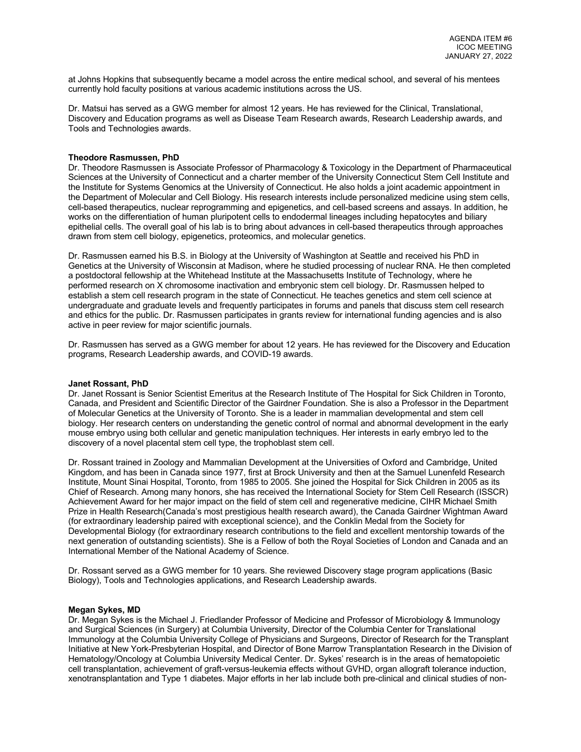at Johns Hopkins that subsequently became a model across the entire medical school, and several of his mentees currently hold faculty positions at various academic institutions across the US.

Dr. Matsui has served as a GWG member for almost 12 years. He has reviewed for the Clinical, Translational, Discovery and Education programs as well as Disease Team Research awards, Research Leadership awards, and Tools and Technologies awards.

#### **Theodore Rasmussen, PhD**

Dr. Theodore Rasmussen is Associate Professor of Pharmacology & Toxicology in the Department of Pharmaceutical Sciences at the University of Connecticut and a charter member of the University Connecticut Stem Cell Institute and the Institute for Systems Genomics at the University of Connecticut. He also holds a joint academic appointment in the Department of Molecular and Cell Biology. His research interests include personalized medicine using stem cells, cell-based therapeutics, nuclear reprogramming and epigenetics, and cell-based screens and assays. In addition, he works on the differentiation of human pluripotent cells to endodermal lineages including hepatocytes and biliary epithelial cells. The overall goal of his lab is to bring about advances in cell-based therapeutics through approaches drawn from stem cell biology, epigenetics, proteomics, and molecular genetics.

Dr. Rasmussen earned his B.S. in Biology at the University of Washington at Seattle and received his PhD in Genetics at the University of Wisconsin at Madison, where he studied processing of nuclear RNA. He then completed a postdoctoral fellowship at the Whitehead Institute at the Massachusetts Institute of Technology, where he performed research on X chromosome inactivation and embryonic stem cell biology. Dr. Rasmussen helped to establish a stem cell research program in the state of Connecticut. He teaches genetics and stem cell science at undergraduate and graduate levels and frequently participates in forums and panels that discuss stem cell research and ethics for the public. Dr. Rasmussen participates in grants review for international funding agencies and is also active in peer review for major scientific journals.

Dr. Rasmussen has served as a GWG member for about 12 years. He has reviewed for the Discovery and Education programs, Research Leadership awards, and COVID-19 awards.

#### **Janet Rossant, PhD**

Dr. Janet Rossant is Senior Scientist Emeritus at the Research Institute of The Hospital for Sick Children in Toronto, Canada, and President and Scientific Director of the Gairdner Foundation. She is also a Professor in the Department of Molecular Genetics at the University of Toronto. She is a leader in mammalian developmental and stem cell biology. Her research centers on understanding the genetic control of normal and abnormal development in the early mouse embryo using both cellular and genetic manipulation techniques. Her interests in early embryo led to the discovery of a novel placental stem cell type, the trophoblast stem cell.

Dr. Rossant trained in Zoology and Mammalian Development at the Universities of Oxford and Cambridge, United Kingdom, and has been in Canada since 1977, first at Brock University and then at the Samuel Lunenfeld Research Institute, Mount Sinai Hospital, Toronto, from 1985 to 2005. She joined the Hospital for Sick Children in 2005 as its Chief of Research. Among many honors, she has received the International Society for Stem Cell Research (ISSCR) Achievement Award for her major impact on the field of stem cell and regenerative medicine, CIHR Michael Smith Prize in Health Research(Canada's most prestigious health research award), the Canada Gairdner Wightman Award (for extraordinary leadership paired with exceptional science), and the Conklin Medal from the Society for Developmental Biology (for extraordinary research contributions to the field and excellent mentorship towards of the next generation of outstanding scientists). She is a Fellow of both the Royal Societies of London and Canada and an International Member of the National Academy of Science.

Dr. Rossant served as a GWG member for 10 years. She reviewed Discovery stage program applications (Basic Biology), Tools and Technologies applications, and Research Leadership awards.

### **Megan Sykes, MD**

Dr. Megan Sykes is the Michael J. Friedlander Professor of Medicine and Professor of Microbiology & Immunology and Surgical Sciences (in Surgery) at Columbia University, Director of the Columbia Center for Translational Immunology at the Columbia University College of Physicians and Surgeons, Director of Research for the Transplant Initiative at New York-Presbyterian Hospital, and Director of Bone Marrow Transplantation Research in the Division of Hematology/Oncology at Columbia University Medical Center. Dr. Sykes' research is in the areas of hematopoietic cell transplantation, achievement of graft-versus-leukemia effects without GVHD, organ allograft tolerance induction, xenotransplantation and Type 1 diabetes. Major efforts in her lab include both pre-clinical and clinical studies of non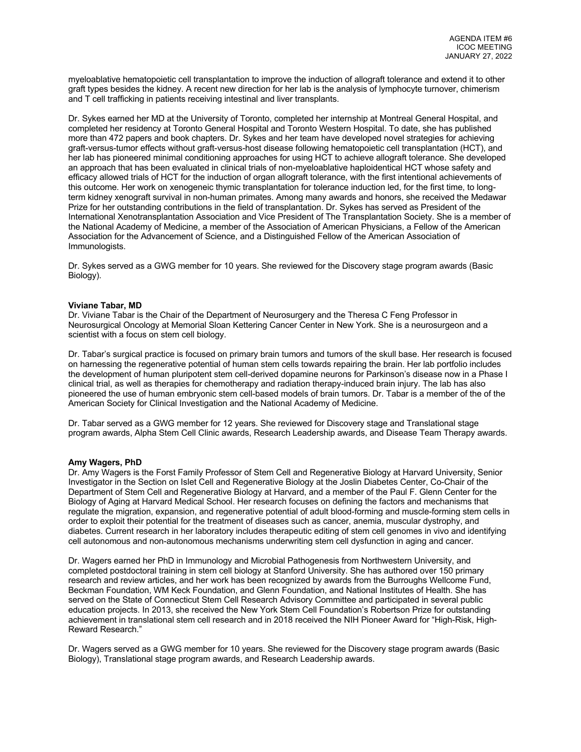myeloablative hematopoietic cell transplantation to improve the induction of allograft tolerance and extend it to other graft types besides the kidney. A recent new direction for her lab is the analysis of lymphocyte turnover, chimerism and T cell trafficking in patients receiving intestinal and liver transplants.

Dr. Sykes earned her MD at the University of Toronto, completed her internship at Montreal General Hospital, and completed her residency at Toronto General Hospital and Toronto Western Hospital. To date, she has published more than 472 papers and book chapters. Dr. Sykes and her team have developed novel strategies for achieving graft-versus-tumor effects without graft-versus-host disease following hematopoietic cell transplantation (HCT), and her lab has pioneered minimal conditioning approaches for using HCT to achieve allograft tolerance. She developed an approach that has been evaluated in clinical trials of non-myeloablative haploidentical HCT whose safety and efficacy allowed trials of HCT for the induction of organ allograft tolerance, with the first intentional achievements of this outcome. Her work on xenogeneic thymic transplantation for tolerance induction led, for the first time, to longterm kidney xenograft survival in non-human primates. Among many awards and honors, she received the Medawar Prize for her outstanding contributions in the field of transplantation. Dr. Sykes has served as President of the International Xenotransplantation Association and Vice President of The Transplantation Society. She is a member of the National Academy of Medicine, a member of the Association of American Physicians, a Fellow of the American Association for the Advancement of Science, and a Distinguished Fellow of the American Association of Immunologists.

Dr. Sykes served as a GWG member for 10 years. She reviewed for the Discovery stage program awards (Basic Biology).

#### **Viviane Tabar, MD**

Dr. Viviane Tabar is the Chair of the Department of Neurosurgery and the Theresa C Feng Professor in Neurosurgical Oncology at Memorial Sloan Kettering Cancer Center in New York. She is a neurosurgeon and a scientist with a focus on stem cell biology.

Dr. Tabar's surgical practice is focused on primary brain tumors and tumors of the skull base. Her research is focused on harnessing the regenerative potential of human stem cells towards repairing the brain. Her lab portfolio includes the development of human pluripotent stem cell-derived dopamine neurons for Parkinson's disease now in a Phase I clinical trial, as well as therapies for chemotherapy and radiation therapy-induced brain injury. The lab has also pioneered the use of human embryonic stem cell-based models of brain tumors. Dr. Tabar is a member of the of the American Society for Clinical Investigation and the National Academy of Medicine.

Dr. Tabar served as a GWG member for 12 years. She reviewed for Discovery stage and Translational stage program awards, Alpha Stem Cell Clinic awards, Research Leadership awards, and Disease Team Therapy awards.

#### **Amy Wagers, PhD**

Dr. Amy Wagers is the Forst Family Professor of Stem Cell and Regenerative Biology at Harvard University, Senior Investigator in the Section on Islet Cell and Regenerative Biology at the Joslin Diabetes Center, Co-Chair of the Department of Stem Cell and Regenerative Biology at Harvard, and a member of the Paul F. Glenn Center for the Biology of Aging at Harvard Medical School. Her research focuses on defining the factors and mechanisms that regulate the migration, expansion, and regenerative potential of adult blood-forming and muscle-forming stem cells in order to exploit their potential for the treatment of diseases such as cancer, anemia, muscular dystrophy, and diabetes. Current research in her laboratory includes therapeutic editing of stem cell genomes in vivo and identifying cell autonomous and non-autonomous mechanisms underwriting stem cell dysfunction in aging and cancer.

Dr. Wagers earned her PhD in Immunology and Microbial Pathogenesis from Northwestern University, and completed postdoctoral training in stem cell biology at Stanford University. She has authored over 150 primary research and review articles, and her work has been recognized by awards from the Burroughs Wellcome Fund, Beckman Foundation, WM Keck Foundation, and Glenn Foundation, and National Institutes of Health. She has served on the State of Connecticut Stem Cell Research Advisory Committee and participated in several public education projects. In 2013, she received the New York Stem Cell Foundation's Robertson Prize for outstanding achievement in translational stem cell research and in 2018 received the NIH Pioneer Award for "High-Risk, High-Reward Research."

Dr. Wagers served as a GWG member for 10 years. She reviewed for the Discovery stage program awards (Basic Biology), Translational stage program awards, and Research Leadership awards.